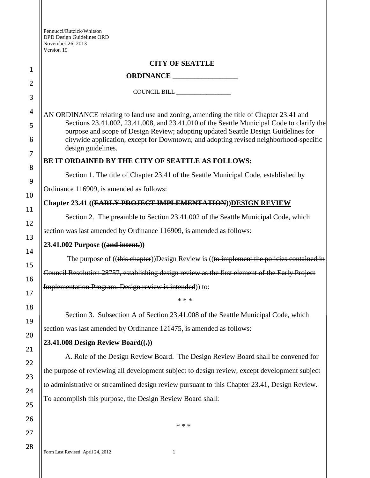| Pennucci/Rutzick/Whitson  |
|---------------------------|
| DPD Design Guidelines ORD |
| November 26, 2013         |
| Version 19                |

|                | version 19                                                                                                                                                                      |  |
|----------------|---------------------------------------------------------------------------------------------------------------------------------------------------------------------------------|--|
|                | <b>CITY OF SEATTLE</b>                                                                                                                                                          |  |
| 1              |                                                                                                                                                                                 |  |
| $\overline{2}$ | COUNCIL BILL _________________                                                                                                                                                  |  |
| 3              |                                                                                                                                                                                 |  |
| $\overline{4}$ | AN ORDINANCE relating to land use and zoning, amending the title of Chapter 23.41 and                                                                                           |  |
| 5<br>6         | Sections 23.41.002, 23.41.008, and 23.41.010 of the Seattle Municipal Code to clarify the<br>purpose and scope of Design Review; adopting updated Seattle Design Guidelines for |  |
|                | citywide application, except for Downtown; and adopting revised neighborhood-specific<br>design guidelines.                                                                     |  |
| $\tau$         | BE IT ORDAINED BY THE CITY OF SEATTLE AS FOLLOWS:                                                                                                                               |  |
| 8<br>9         | Section 1. The title of Chapter 23.41 of the Seattle Municipal Code, established by                                                                                             |  |
|                | Ordinance 116909, is amended as follows:                                                                                                                                        |  |
| 10             | Chapter 23.41 ((EARLY PROJECT IMPLEMENTATION))DESIGN REVIEW                                                                                                                     |  |
| <b>11</b>      | Section 2. The preamble to Section 23.41.002 of the Seattle Municipal Code, which                                                                                               |  |
| 12             | section was last amended by Ordinance 116909, is amended as follows:                                                                                                            |  |
| 13             | 23.41.002 Purpose ((and intent.))                                                                                                                                               |  |
| 14<br>15       | The purpose of $((this chapter))$ Design Review is $((to implement the policies contained in$                                                                                   |  |
| 16             | Council Resolution 28757, establishing design review as the first element of the Early Project                                                                                  |  |
|                | Implementation Program. Design review is intended)) to:                                                                                                                         |  |
| 17             | * * *                                                                                                                                                                           |  |
| 18             | Section 3. Subsection A of Section 23.41.008 of the Seattle Municipal Code, which                                                                                               |  |
| 19             | section was last amended by Ordinance 121475, is amended as follows:                                                                                                            |  |
| 20             | 23.41.008 Design Review Board $((.)$                                                                                                                                            |  |
| 21             | A. Role of the Design Review Board. The Design Review Board shall be convened for                                                                                               |  |
| 22             | the purpose of reviewing all development subject to design review, except development subject                                                                                   |  |
| 23             | to administrative or streamlined design review pursuant to this Chapter 23.41, Design Review.                                                                                   |  |
| 24<br>25       | To accomplish this purpose, the Design Review Board shall:                                                                                                                      |  |
| 26             |                                                                                                                                                                                 |  |
|                | * * *                                                                                                                                                                           |  |
| 27             |                                                                                                                                                                                 |  |

28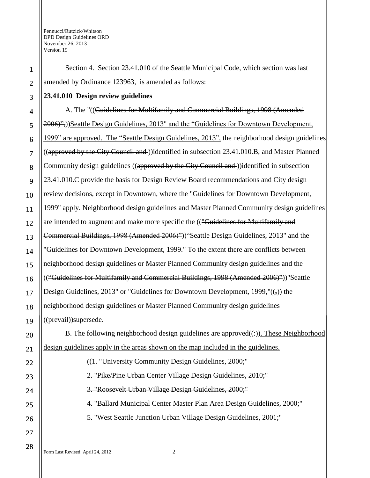1

2

3

4

5

6

7

8

9

10

11

12

13

14

15

16

17

18

19

20

21

Section 4. Section 23.41.010 of the Seattle Municipal Code, which section was last amended by Ordinance 123963, is amended as follows:

**23.41.010 Design review guidelines**

A. The "((Guidelines for Multifamily and Commercial Buildings, 1998 (Amended 2006)",))Seattle Design Guidelines, 2013" and the "Guidelines for Downtown Development, 1999" are approved. The "Seattle Design Guidelines, 2013", the neighborhood design guidelines ((approved by the City Council and ))identified in subsection 23.41.010.B, and Master Planned Community design guidelines ((approved by the City Council and )) identified in subsection 23.41.010.C provide the basis for Design Review Board recommendations and City design review decisions, except in Downtown, where the "Guidelines for Downtown Development, 1999" apply. Neighborhood design guidelines and Master Planned Community design guidelines are intended to augment and make more specific the (("Guidelines for Multifamily and Commercial Buildings, 1998 (Amended 2006)"))"Seattle Design Guidelines, 2013" and the "Guidelines for Downtown Development, 1999." To the extent there are conflicts between neighborhood design guidelines or Master Planned Community design guidelines and the (("Guidelines for Multifamily and Commercial Buildings, 1998 (Amended 2006)"))"Seattle Design Guidelines, 2013" or "Guidelines for Downtown Development, 1999," $((\tau))$  the neighborhood design guidelines or Master Planned Community design guidelines ((prevail))supersede.

B. The following neighborhood design guidelines are approved $((:))$ . These Neighborhood design guidelines apply in the areas shown on the map included in the guidelines.

((1. "University Community Design Guidelines, 2000;" 2. "Pike/Pine Urban Center Village Design Guidelines, 2010;" 3. "Roosevelt Urban Village Design Guidelines, 2000;" 4. "Ballard Municipal Center Master Plan Area Design Guidelines, 2000;" 5. "West Seattle Junction Urban Village Design Guidelines, 2001;"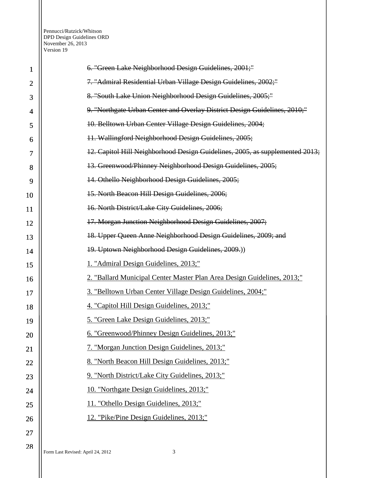| 1              | 6. "Green Lake Neighborhood Design Guidelines, 2001;"                        |
|----------------|------------------------------------------------------------------------------|
| $\overline{2}$ | 7. "Admiral Residential Urban Village Design Guidelines, 2002;"              |
| 3              | 8. "South Lake Union Neighborhood Design Guidelines, 2005;"                  |
| 4              | 9. "Northgate Urban Center and Overlay District Design Guidelines, 2010;"    |
| 5              | 10. Belltown Urban Center Village Design Guidelines, 2004;                   |
| 6              | 11. Wallingford Neighborhood Design Guidelines, 2005;                        |
| 7              | 12. Capitol Hill Neighborhood Design Guidelines, 2005, as supplemented 2013; |
| 8              | 13. Greenwood/Phinney Neighborhood Design Guidelines, 2005;                  |
| 9              | 14. Othello Neighborhood Design Guidelines, 2005;                            |
| 10             | 15. North Beacon Hill Design Guidelines, 2006;                               |
| 11             | 16. North District/Lake City Guidelines, 2006;                               |
| 12             | 17. Morgan Junction Neighborhood Design Guidelines, 2007;                    |
| 13             | 18. Upper Queen Anne Neighborhood Design Guidelines, 2009; and               |
| 14             | 19. Uptown Neighborhood Design Guidelines, 2009.)                            |
| 15             | 1. "Admiral Design Guidelines, 2013;"                                        |
| 16             | 2. "Ballard Municipal Center Master Plan Area Design Guidelines, 2013;"      |
| 17             | 3. "Belltown Urban Center Village Design Guidelines, 2004;"                  |
| 18             | 4. "Capitol Hill Design Guidelines, 2013;"                                   |
| 19             | 5. "Green Lake Design Guidelines, 2013;"                                     |
| 20             | 6. "Greenwood/Phinney Design Guidelines, 2013;"                              |
| 21             | 7. "Morgan Junction Design Guidelines, 2013;"                                |
| 22             | 8. "North Beacon Hill Design Guidelines, 2013;"                              |
| 23             | 9. "North District/Lake City Guidelines, 2013;"                              |
| 24             | 10. "Northgate Design Guidelines, 2013;"                                     |
| 25             | 11. "Othello Design Guidelines, 2013;"                                       |
| 26             | 12. "Pike/Pine Design Guidelines, 2013;"                                     |
| 27             |                                                                              |
| 28             |                                                                              |

Form Last Revised: April 24, 2012 3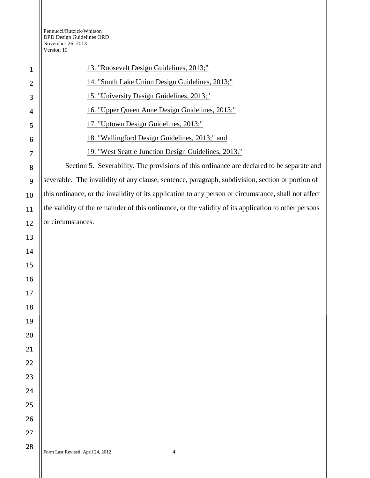| $\mathbf 1$    | 13. "Roosevelt Design Guidelines, 2013;"                                                             |
|----------------|------------------------------------------------------------------------------------------------------|
| $\overline{2}$ | 14. "South Lake Union Design Guidelines, 2013;"                                                      |
| 3              | 15. "University Design Guidelines, 2013;"                                                            |
| 4              | 16. "Upper Queen Anne Design Guidelines, 2013;"                                                      |
| 5              | 17. "Uptown Design Guidelines, 2013;"                                                                |
| 6              | 18. "Wallingford Design Guidelines, 2013;" and                                                       |
| 7              | 19. "West Seattle Junction Design Guidelines, 2013."                                                 |
| 8              | Section 5. Severability. The provisions of this ordinance are declared to be separate and            |
| 9              | severable. The invalidity of any clause, sentence, paragraph, subdivision, section or portion of     |
| 10             | this ordinance, or the invalidity of its application to any person or circumstance, shall not affect |
| 11             | the validity of the remainder of this ordinance, or the validity of its application to other persons |
| 12             | or circumstances.                                                                                    |
| 13             |                                                                                                      |
| 14             |                                                                                                      |
| 15             |                                                                                                      |
| 16             |                                                                                                      |
| 17             |                                                                                                      |
| 18             |                                                                                                      |
| 19             |                                                                                                      |
| 20             |                                                                                                      |
| 21             |                                                                                                      |
| 22             |                                                                                                      |
| 23             |                                                                                                      |
| 24             |                                                                                                      |
| 25             |                                                                                                      |
| 26             |                                                                                                      |
| 27             |                                                                                                      |
|                |                                                                                                      |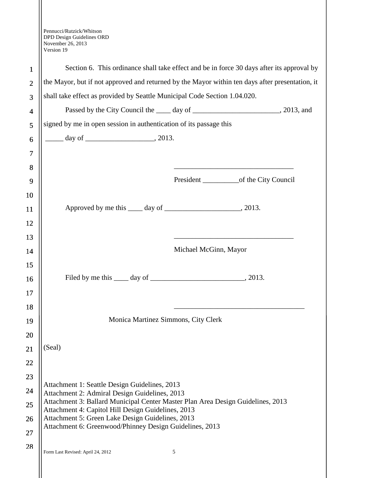|                | Version 19                                                                                                                            |  |
|----------------|---------------------------------------------------------------------------------------------------------------------------------------|--|
| $\mathbf{1}$   | Section 6. This ordinance shall take effect and be in force 30 days after its approval by                                             |  |
| $\overline{2}$ | the Mayor, but if not approved and returned by the Mayor within ten days after presentation, it                                       |  |
| 3              | shall take effect as provided by Seattle Municipal Code Section 1.04.020.                                                             |  |
| $\overline{4}$ | Passed by the City Council the <u>come day of container and a</u> , 2013, and                                                         |  |
| 5              | signed by me in open session in authentication of its passage this                                                                    |  |
| 6              | $\frac{day}{}$ day of $\frac{1}{2013}$ .                                                                                              |  |
| 7              |                                                                                                                                       |  |
| 8              |                                                                                                                                       |  |
| 9              | President _________________of the City Council                                                                                        |  |
| 10             |                                                                                                                                       |  |
| 11             |                                                                                                                                       |  |
| 12             |                                                                                                                                       |  |
| 13             |                                                                                                                                       |  |
| 14             | Michael McGinn, Mayor                                                                                                                 |  |
| 15             |                                                                                                                                       |  |
| 16             |                                                                                                                                       |  |
| 17             |                                                                                                                                       |  |
| 18             |                                                                                                                                       |  |
| 19             | Monica Martinez Simmons, City Clerk                                                                                                   |  |
| 20             |                                                                                                                                       |  |
| 21             | (Seal)                                                                                                                                |  |
| 22             |                                                                                                                                       |  |
| 23             |                                                                                                                                       |  |
| 24             | Attachment 1: Seattle Design Guidelines, 2013<br>Attachment 2: Admiral Design Guidelines, 2013                                        |  |
| 25             | Attachment 3: Ballard Municipal Center Master Plan Area Design Guidelines, 2013<br>Attachment 4: Capitol Hill Design Guidelines, 2013 |  |
| 26             | Attachment 5: Green Lake Design Guidelines, 2013                                                                                      |  |
| 27             | Attachment 6: Greenwood/Phinney Design Guidelines, 2013                                                                               |  |
| 28             | Form Last Revised: April 24, 2012<br>5                                                                                                |  |